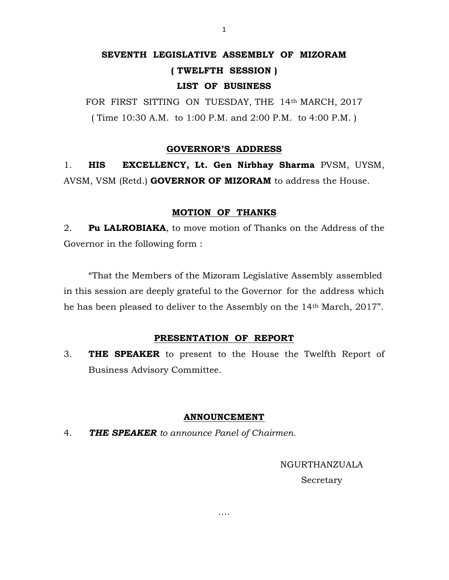# SEVENTH LEGISLATIVE ASSEMBLY OF MIZORAM

# ( TWELFTH SESSION )

# LIST OF BUSINESS

FOR FIRST SITTING ON TUESDAY, THE 14th MARCH, 2017 ( Time 10:30 A.M. to 1:00 P.M. and 2:00 P.M. to 4:00 P.M. )

## GOVERNOR'S ADDRESS

1. HIS EXCELLENCY, Lt. Gen Nirbhay Sharma PVSM, UYSM, AVSM, VSM (Retd.) GOVERNOR OF MIZORAM to address the House.

#### MOTION OF THANKS

2. Pu LALROBIAKA, to move motion of Thanks on the Address of the Governor in the following form :

 "That the Members of the Mizoram Legislative Assembly assembled in this session are deeply grateful to the Governor for the address which he has been pleased to deliver to the Assembly on the 14th March, 2017".

# PRESENTATION OF REPORT

3. **THE SPEAKER** to present to the House the Twelfth Report of Business Advisory Committee.

#### ANNOUNCEMENT

….

4. THE SPEAKER to announce Panel of Chairmen.

NGURTHANZUALA Secretary

1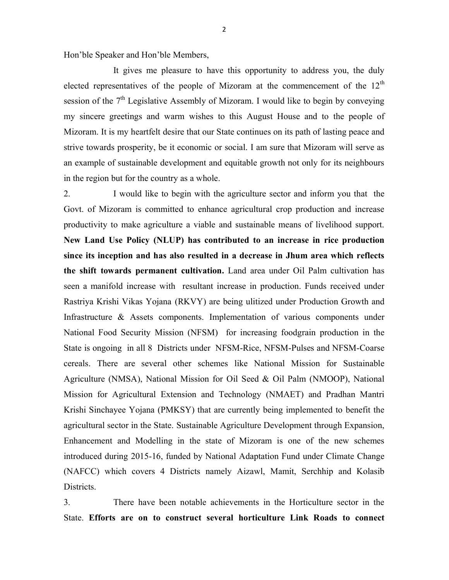Hon'ble Speaker and Hon'ble Members,

 It gives me pleasure to have this opportunity to address you, the duly elected representatives of the people of Mizoram at the commencement of the  $12<sup>th</sup>$ session of the  $7<sup>th</sup>$  Legislative Assembly of Mizoram. I would like to begin by conveying my sincere greetings and warm wishes to this August House and to the people of Mizoram. It is my heartfelt desire that our State continues on its path of lasting peace and strive towards prosperity, be it economic or social. I am sure that Mizoram will serve as an example of sustainable development and equitable growth not only for its neighbours in the region but for the country as a whole.

2. I would like to begin with the agriculture sector and inform you that the Govt. of Mizoram is committed to enhance agricultural crop production and increase productivity to make agriculture a viable and sustainable means of livelihood support. New Land Use Policy (NLUP) has contributed to an increase in rice production since its inception and has also resulted in a decrease in Jhum area which reflects the shift towards permanent cultivation. Land area under Oil Palm cultivation has seen a manifold increase with resultant increase in production. Funds received under Rastriya Krishi Vikas Yojana (RKVY) are being ulitized under Production Growth and Infrastructure & Assets components. Implementation of various components under National Food Security Mission (NFSM) for increasing foodgrain production in the State is ongoing in all 8 Districts under NFSM-Rice, NFSM-Pulses and NFSM-Coarse cereals. There are several other schemes like National Mission for Sustainable Agriculture (NMSA), National Mission for Oil Seed & Oil Palm (NMOOP), National Mission for Agricultural Extension and Technology (NMAET) and Pradhan Mantri Krishi Sinchayee Yojana (PMKSY) that are currently being implemented to benefit the agricultural sector in the State. Sustainable Agriculture Development through Expansion, Enhancement and Modelling in the state of Mizoram is one of the new schemes introduced during 2015-16, funded by National Adaptation Fund under Climate Change (NAFCC) which covers 4 Districts namely Aizawl, Mamit, Serchhip and Kolasib Districts.

3. There have been notable achievements in the Horticulture sector in the State. Efforts are on to construct several horticulture Link Roads to connect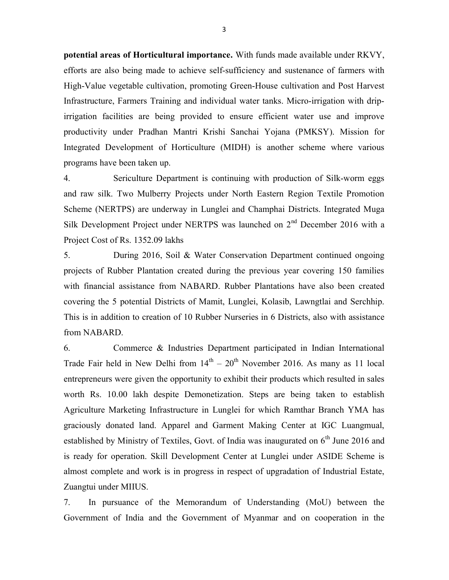potential areas of Horticultural importance. With funds made available under RKVY, efforts are also being made to achieve self-sufficiency and sustenance of farmers with High-Value vegetable cultivation, promoting Green-House cultivation and Post Harvest Infrastructure, Farmers Training and individual water tanks. Micro-irrigation with dripirrigation facilities are being provided to ensure efficient water use and improve productivity under Pradhan Mantri Krishi Sanchai Yojana (PMKSY). Mission for Integrated Development of Horticulture (MIDH) is another scheme where various programs have been taken up.

4. Sericulture Department is continuing with production of Silk-worm eggs and raw silk. Two Mulberry Projects under North Eastern Region Textile Promotion Scheme (NERTPS) are underway in Lunglei and Champhai Districts. Integrated Muga Silk Development Project under NERTPS was launched on 2<sup>nd</sup> December 2016 with a Project Cost of Rs. 1352.09 lakhs

5. During 2016, Soil & Water Conservation Department continued ongoing projects of Rubber Plantation created during the previous year covering 150 families with financial assistance from NABARD. Rubber Plantations have also been created covering the 5 potential Districts of Mamit, Lunglei, Kolasib, Lawngtlai and Serchhip. This is in addition to creation of 10 Rubber Nurseries in 6 Districts, also with assistance from NABARD.

6. Commerce & Industries Department participated in Indian International Trade Fair held in New Delhi from  $14<sup>th</sup> - 20<sup>th</sup>$  November 2016. As many as 11 local entrepreneurs were given the opportunity to exhibit their products which resulted in sales worth Rs. 10.00 lakh despite Demonetization. Steps are being taken to establish Agriculture Marketing Infrastructure in Lunglei for which Ramthar Branch YMA has graciously donated land. Apparel and Garment Making Center at IGC Luangmual, established by Ministry of Textiles, Govt. of India was inaugurated on  $6<sup>th</sup>$  June 2016 and is ready for operation. Skill Development Center at Lunglei under ASIDE Scheme is almost complete and work is in progress in respect of upgradation of Industrial Estate, Zuangtui under MIIUS.

7. In pursuance of the Memorandum of Understanding (MoU) between the Government of India and the Government of Myanmar and on cooperation in the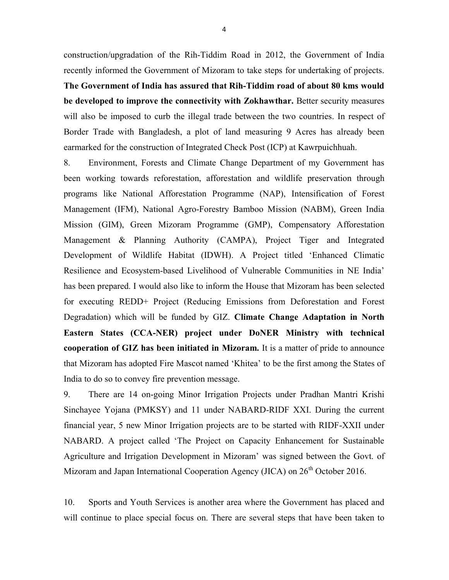construction/upgradation of the Rih-Tiddim Road in 2012, the Government of India recently informed the Government of Mizoram to take steps for undertaking of projects.

The Government of India has assured that Rih-Tiddim road of about 80 kms would be developed to improve the connectivity with Zokhawthar. Better security measures will also be imposed to curb the illegal trade between the two countries. In respect of Border Trade with Bangladesh, a plot of land measuring 9 Acres has already been earmarked for the construction of Integrated Check Post (ICP) at Kawrpuichhuah.

8. Environment, Forests and Climate Change Department of my Government has been working towards reforestation, afforestation and wildlife preservation through programs like National Afforestation Programme (NAP), Intensification of Forest Management (IFM), National Agro-Forestry Bamboo Mission (NABM), Green India Mission (GIM), Green Mizoram Programme (GMP), Compensatory Afforestation Management & Planning Authority (CAMPA), Project Tiger and Integrated Development of Wildlife Habitat (IDWH). A Project titled 'Enhanced Climatic Resilience and Ecosystem-based Livelihood of Vulnerable Communities in NE India' has been prepared. I would also like to inform the House that Mizoram has been selected for executing REDD+ Project (Reducing Emissions from Deforestation and Forest Degradation) which will be funded by GIZ. Climate Change Adaptation in North Eastern States (CCA-NER) project under DoNER Ministry with technical cooperation of GIZ has been initiated in Mizoram. It is a matter of pride to announce that Mizoram has adopted Fire Mascot named 'Khitea' to be the first among the States of India to do so to convey fire prevention message.

9. There are 14 on-going Minor Irrigation Projects under Pradhan Mantri Krishi Sinchayee Yojana (PMKSY) and 11 under NABARD-RIDF XXI. During the current financial year, 5 new Minor Irrigation projects are to be started with RIDF-XXII under NABARD. A project called 'The Project on Capacity Enhancement for Sustainable Agriculture and Irrigation Development in Mizoram' was signed between the Govt. of Mizoram and Japan International Cooperation Agency (JICA) on 26<sup>th</sup> October 2016.

10. Sports and Youth Services is another area where the Government has placed and will continue to place special focus on. There are several steps that have been taken to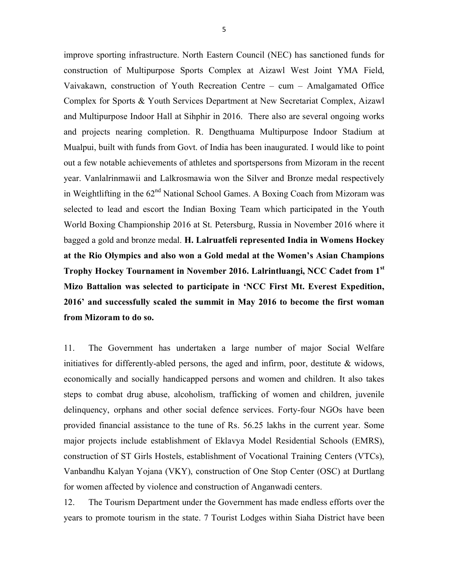improve sporting infrastructure. North Eastern Council (NEC) has sanctioned funds for construction of Multipurpose Sports Complex at Aizawl West Joint YMA Field, Vaivakawn, construction of Youth Recreation Centre – cum – Amalgamated Office Complex for Sports & Youth Services Department at New Secretariat Complex, Aizawl and Multipurpose Indoor Hall at Sihphir in 2016. There also are several ongoing works and projects nearing completion. R. Dengthuama Multipurpose Indoor Stadium at Mualpui, built with funds from Govt. of India has been inaugurated. I would like to point out a few notable achievements of athletes and sportspersons from Mizoram in the recent year. Vanlalrinmawii and Lalkrosmawia won the Silver and Bronze medal respectively in Weightlifting in the  $62<sup>nd</sup>$  National School Games. A Boxing Coach from Mizoram was selected to lead and escort the Indian Boxing Team which participated in the Youth World Boxing Championship 2016 at St. Petersburg, Russia in November 2016 where it bagged a gold and bronze medal. H. Lalruatfeli represented India in Womens Hockey at the Rio Olympics and also won a Gold medal at the Women's Asian Champions Trophy Hockey Tournament in November 2016. Lalrintluangi, NCC Cadet from 1st Mizo Battalion was selected to participate in 'NCC First Mt. Everest Expedition, 2016' and successfully scaled the summit in May 2016 to become the first woman from Mizoram to do so.

11. The Government has undertaken a large number of major Social Welfare initiatives for differently-abled persons, the aged and infirm, poor, destitute & widows, economically and socially handicapped persons and women and children. It also takes steps to combat drug abuse, alcoholism, trafficking of women and children, juvenile delinquency, orphans and other social defence services. Forty-four NGOs have been provided financial assistance to the tune of Rs. 56.25 lakhs in the current year. Some major projects include establishment of Eklavya Model Residential Schools (EMRS), construction of ST Girls Hostels, establishment of Vocational Training Centers (VTCs), Vanbandhu Kalyan Yojana (VKY), construction of One Stop Center (OSC) at Durtlang for women affected by violence and construction of Anganwadi centers.

12. The Tourism Department under the Government has made endless efforts over the years to promote tourism in the state. 7 Tourist Lodges within Siaha District have been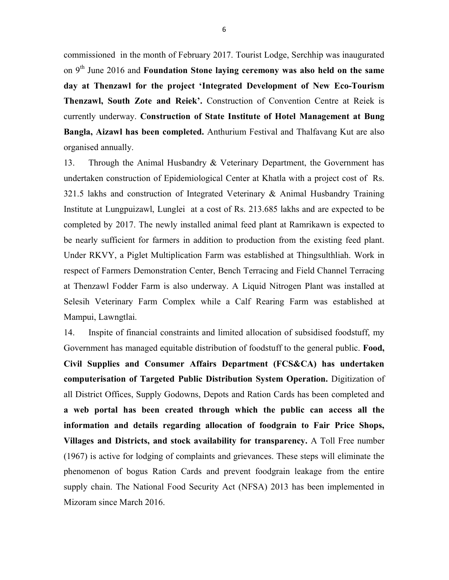commissioned in the month of February 2017. Tourist Lodge, Serchhip was inaugurated on  $9<sup>th</sup>$  June 2016 and Foundation Stone laying ceremony was also held on the same day at Thenzawl for the project 'Integrated Development of New Eco-Tourism Thenzawl, South Zote and Reiek'. Construction of Convention Centre at Reiek is currently underway. Construction of State Institute of Hotel Management at Bung Bangla, Aizawl has been completed. Anthurium Festival and Thalfavang Kut are also organised annually.

13. Through the Animal Husbandry & Veterinary Department, the Government has undertaken construction of Epidemiological Center at Khatla with a project cost of Rs. 321.5 lakhs and construction of Integrated Veterinary & Animal Husbandry Training Institute at Lungpuizawl, Lunglei at a cost of Rs. 213.685 lakhs and are expected to be completed by 2017. The newly installed animal feed plant at Ramrikawn is expected to be nearly sufficient for farmers in addition to production from the existing feed plant. Under RKVY, a Piglet Multiplication Farm was established at Thingsulthliah. Work in respect of Farmers Demonstration Center, Bench Terracing and Field Channel Terracing at Thenzawl Fodder Farm is also underway. A Liquid Nitrogen Plant was installed at Selesih Veterinary Farm Complex while a Calf Rearing Farm was established at Mampui, Lawngtlai.

14. Inspite of financial constraints and limited allocation of subsidised foodstuff, my Government has managed equitable distribution of foodstuff to the general public. Food, Civil Supplies and Consumer Affairs Department (FCS&CA) has undertaken computerisation of Targeted Public Distribution System Operation. Digitization of all District Offices, Supply Godowns, Depots and Ration Cards has been completed and a web portal has been created through which the public can access all the information and details regarding allocation of foodgrain to Fair Price Shops, Villages and Districts, and stock availability for transparency. A Toll Free number (1967) is active for lodging of complaints and grievances. These steps will eliminate the phenomenon of bogus Ration Cards and prevent foodgrain leakage from the entire supply chain. The National Food Security Act (NFSA) 2013 has been implemented in Mizoram since March 2016.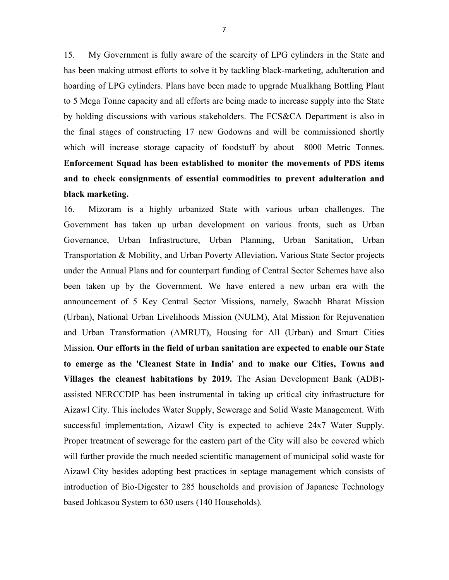15. My Government is fully aware of the scarcity of LPG cylinders in the State and has been making utmost efforts to solve it by tackling black-marketing, adulteration and hoarding of LPG cylinders. Plans have been made to upgrade Mualkhang Bottling Plant to 5 Mega Tonne capacity and all efforts are being made to increase supply into the State by holding discussions with various stakeholders. The FCS&CA Department is also in the final stages of constructing 17 new Godowns and will be commissioned shortly which will increase storage capacity of foodstuff by about 8000 Metric Tonnes. Enforcement Squad has been established to monitor the movements of PDS items and to check consignments of essential commodities to prevent adulteration and black marketing.

16. Mizoram is a highly urbanized State with various urban challenges. The Government has taken up urban development on various fronts, such as Urban Governance, Urban Infrastructure, Urban Planning, Urban Sanitation, Urban Transportation & Mobility, and Urban Poverty Alleviation. Various State Sector projects under the Annual Plans and for counterpart funding of Central Sector Schemes have also been taken up by the Government. We have entered a new urban era with the announcement of 5 Key Central Sector Missions, namely, Swachh Bharat Mission (Urban), National Urban Livelihoods Mission (NULM), Atal Mission for Rejuvenation and Urban Transformation (AMRUT), Housing for All (Urban) and Smart Cities Mission. Our efforts in the field of urban sanitation are expected to enable our State to emerge as the 'Cleanest State in India' and to make our Cities, Towns and Villages the cleanest habitations by 2019. The Asian Development Bank (ADB) assisted NERCCDIP has been instrumental in taking up critical city infrastructure for Aizawl City. This includes Water Supply, Sewerage and Solid Waste Management. With successful implementation, Aizawl City is expected to achieve 24x7 Water Supply. Proper treatment of sewerage for the eastern part of the City will also be covered which will further provide the much needed scientific management of municipal solid waste for Aizawl City besides adopting best practices in septage management which consists of introduction of Bio-Digester to 285 households and provision of Japanese Technology based Johkasou System to 630 users (140 Households).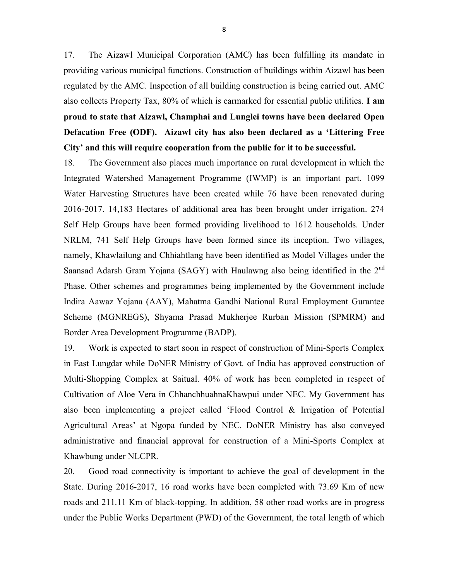17. The Aizawl Municipal Corporation (AMC) has been fulfilling its mandate in providing various municipal functions. Construction of buildings within Aizawl has been regulated by the AMC. Inspection of all building construction is being carried out. AMC also collects Property Tax, 80% of which is earmarked for essential public utilities. I am proud to state that Aizawl, Champhai and Lunglei towns have been declared Open Defacation Free (ODF). Aizawl city has also been declared as a 'Littering Free City' and this will require cooperation from the public for it to be successful.

18. The Government also places much importance on rural development in which the Integrated Watershed Management Programme (IWMP) is an important part. 1099 Water Harvesting Structures have been created while 76 have been renovated during 2016-2017. 14,183 Hectares of additional area has been brought under irrigation. 274 Self Help Groups have been formed providing livelihood to 1612 households. Under NRLM, 741 Self Help Groups have been formed since its inception. Two villages, namely, Khawlailung and Chhiahtlang have been identified as Model Villages under the Saansad Adarsh Gram Yojana (SAGY) with Haulawng also being identified in the 2<sup>nd</sup> Phase. Other schemes and programmes being implemented by the Government include Indira Aawaz Yojana (AAY), Mahatma Gandhi National Rural Employment Gurantee Scheme (MGNREGS), Shyama Prasad Mukherjee Rurban Mission (SPMRM) and Border Area Development Programme (BADP).

19. Work is expected to start soon in respect of construction of Mini-Sports Complex in East Lungdar while DoNER Ministry of Govt. of India has approved construction of Multi-Shopping Complex at Saitual. 40% of work has been completed in respect of Cultivation of Aloe Vera in ChhanchhuahnaKhawpui under NEC. My Government has also been implementing a project called 'Flood Control & Irrigation of Potential Agricultural Areas' at Ngopa funded by NEC. DoNER Ministry has also conveyed administrative and financial approval for construction of a Mini-Sports Complex at Khawbung under NLCPR.

20. Good road connectivity is important to achieve the goal of development in the State. During 2016-2017, 16 road works have been completed with 73.69 Km of new roads and 211.11 Km of black-topping. In addition, 58 other road works are in progress under the Public Works Department (PWD) of the Government, the total length of which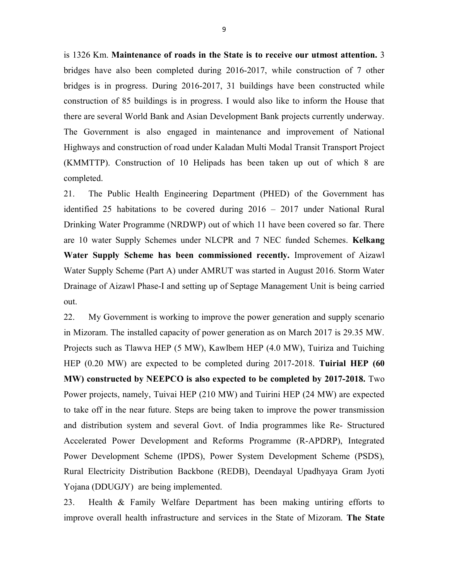is 1326 Km. Maintenance of roads in the State is to receive our utmost attention. 3 bridges have also been completed during 2016-2017, while construction of 7 other bridges is in progress. During 2016-2017, 31 buildings have been constructed while construction of 85 buildings is in progress. I would also like to inform the House that there are several World Bank and Asian Development Bank projects currently underway. The Government is also engaged in maintenance and improvement of National Highways and construction of road under Kaladan Multi Modal Transit Transport Project (KMMTTP). Construction of 10 Helipads has been taken up out of which 8 are completed.

21. The Public Health Engineering Department (PHED) of the Government has identified 25 habitations to be covered during 2016 – 2017 under National Rural Drinking Water Programme (NRDWP) out of which 11 have been covered so far. There are 10 water Supply Schemes under NLCPR and 7 NEC funded Schemes. Kelkang Water Supply Scheme has been commissioned recently. Improvement of Aizawl Water Supply Scheme (Part A) under AMRUT was started in August 2016. Storm Water Drainage of Aizawl Phase-I and setting up of Septage Management Unit is being carried out.

22. My Government is working to improve the power generation and supply scenario in Mizoram. The installed capacity of power generation as on March 2017 is 29.35 MW. Projects such as Tlawva HEP (5 MW), Kawlbem HEP (4.0 MW), Tuiriza and Tuiching HEP (0.20 MW) are expected to be completed during 2017-2018. Tuirial HEP (60 MW) constructed by NEEPCO is also expected to be completed by 2017-2018. Two Power projects, namely, Tuivai HEP (210 MW) and Tuirini HEP (24 MW) are expected to take off in the near future. Steps are being taken to improve the power transmission and distribution system and several Govt. of India programmes like Re- Structured Accelerated Power Development and Reforms Programme (R-APDRP), Integrated Power Development Scheme (IPDS), Power System Development Scheme (PSDS), Rural Electricity Distribution Backbone (REDB), Deendayal Upadhyaya Gram Jyoti Yojana (DDUGJY) are being implemented.

23. Health & Family Welfare Department has been making untiring efforts to improve overall health infrastructure and services in the State of Mizoram. The State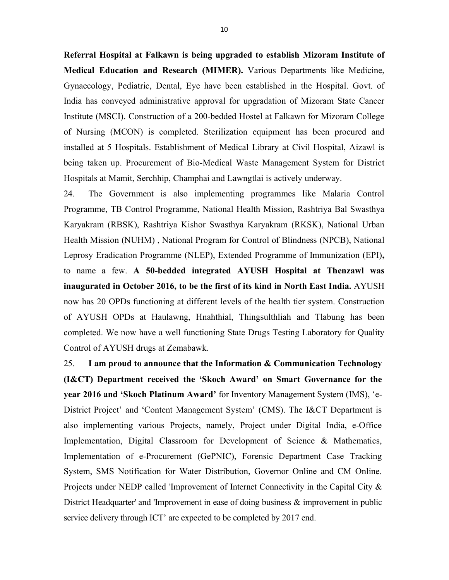Referral Hospital at Falkawn is being upgraded to establish Mizoram Institute of Medical Education and Research (MIMER). Various Departments like Medicine, Gynaecology, Pediatric, Dental, Eye have been established in the Hospital. Govt. of India has conveyed administrative approval for upgradation of Mizoram State Cancer Institute (MSCI). Construction of a 200-bedded Hostel at Falkawn for Mizoram College of Nursing (MCON) is completed. Sterilization equipment has been procured and installed at 5 Hospitals. Establishment of Medical Library at Civil Hospital, Aizawl is being taken up. Procurement of Bio-Medical Waste Management System for District Hospitals at Mamit, Serchhip, Champhai and Lawngtlai is actively underway.

24. The Government is also implementing programmes like Malaria Control Programme, TB Control Programme, National Health Mission, Rashtriya Bal Swasthya Karyakram (RBSK), Rashtriya Kishor Swasthya Karyakram (RKSK), National Urban Health Mission (NUHM) , National Program for Control of Blindness (NPCB), National Leprosy Eradication Programme (NLEP), Extended Programme of Immunization (EPI), to name a few. A 50-bedded integrated AYUSH Hospital at Thenzawl was inaugurated in October 2016, to be the first of its kind in North East India. AYUSH now has 20 OPDs functioning at different levels of the health tier system. Construction of AYUSH OPDs at Haulawng, Hnahthial, Thingsulthliah and Tlabung has been completed. We now have a well functioning State Drugs Testing Laboratory for Quality Control of AYUSH drugs at Zemabawk.

25. I am proud to announce that the Information  $\&$  Communication Technology (I&CT) Department received the 'Skoch Award' on Smart Governance for the year 2016 and 'Skoch Platinum Award' for Inventory Management System (IMS), 'e-District Project' and 'Content Management System' (CMS). The I&CT Department is also implementing various Projects, namely, Project under Digital India, e-Office Implementation, Digital Classroom for Development of Science & Mathematics, Implementation of e-Procurement (GePNIC), Forensic Department Case Tracking System, SMS Notification for Water Distribution, Governor Online and CM Online. Projects under NEDP called 'Improvement of Internet Connectivity in the Capital City & District Headquarter' and 'Improvement in ease of doing business & improvement in public service delivery through ICT' are expected to be completed by 2017 end.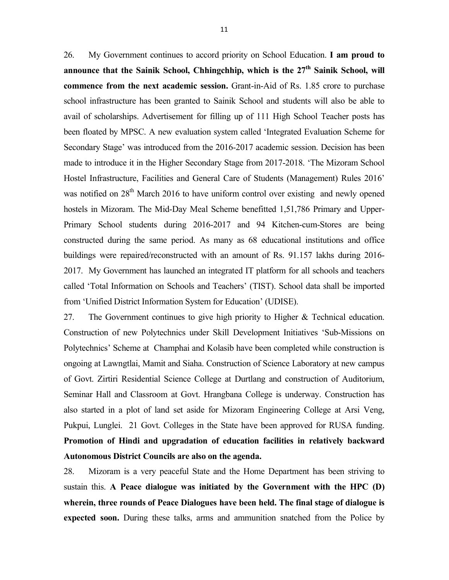26. My Government continues to accord priority on School Education. I am proud to announce that the Sainik School, Chhingchhip, which is the  $27<sup>th</sup>$  Sainik School, will commence from the next academic session. Grant-in-Aid of Rs. 1.85 crore to purchase school infrastructure has been granted to Sainik School and students will also be able to avail of scholarships. Advertisement for filling up of 111 High School Teacher posts has been floated by MPSC. A new evaluation system called 'Integrated Evaluation Scheme for Secondary Stage' was introduced from the 2016-2017 academic session. Decision has been made to introduce it in the Higher Secondary Stage from 2017-2018. 'The Mizoram School Hostel Infrastructure, Facilities and General Care of Students (Management) Rules 2016' was notified on 28<sup>th</sup> March 2016 to have uniform control over existing and newly opened hostels in Mizoram. The Mid-Day Meal Scheme benefitted 1,51,786 Primary and Upper-Primary School students during 2016-2017 and 94 Kitchen-cum-Stores are being constructed during the same period. As many as 68 educational institutions and office buildings were repaired/reconstructed with an amount of Rs. 91.157 lakhs during 2016- 2017. My Government has launched an integrated IT platform for all schools and teachers called 'Total Information on Schools and Teachers' (TIST). School data shall be imported from 'Unified District Information System for Education' (UDISE).

27. The Government continues to give high priority to Higher & Technical education. Construction of new Polytechnics under Skill Development Initiatives 'Sub-Missions on Polytechnics' Scheme at Champhai and Kolasib have been completed while construction is ongoing at Lawngtlai, Mamit and Siaha. Construction of Science Laboratory at new campus of Govt. Zirtiri Residential Science College at Durtlang and construction of Auditorium, Seminar Hall and Classroom at Govt. Hrangbana College is underway. Construction has also started in a plot of land set aside for Mizoram Engineering College at Arsi Veng, Pukpui, Lunglei. 21 Govt. Colleges in the State have been approved for RUSA funding. Promotion of Hindi and upgradation of education facilities in relatively backward Autonomous District Councils are also on the agenda.

28. Mizoram is a very peaceful State and the Home Department has been striving to sustain this. A Peace dialogue was initiated by the Government with the HPC (D) wherein, three rounds of Peace Dialogues have been held. The final stage of dialogue is expected soon. During these talks, arms and ammunition snatched from the Police by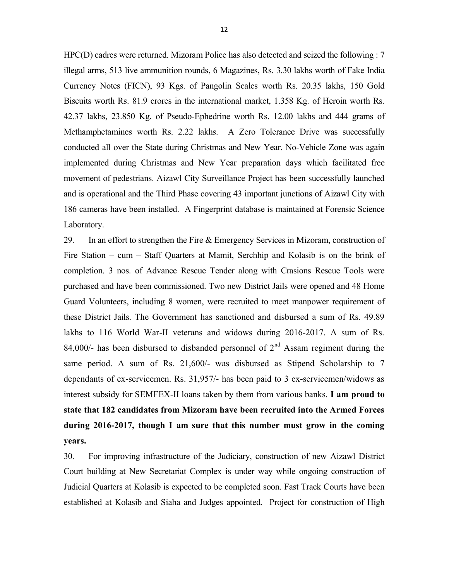HPC(D) cadres were returned. Mizoram Police has also detected and seized the following : 7 illegal arms, 513 live ammunition rounds, 6 Magazines, Rs. 3.30 lakhs worth of Fake India Currency Notes (FICN), 93 Kgs. of Pangolin Scales worth Rs. 20.35 lakhs, 150 Gold Biscuits worth Rs. 81.9 crores in the international market, 1.358 Kg. of Heroin worth Rs. 42.37 lakhs, 23.850 Kg. of Pseudo-Ephedrine worth Rs. 12.00 lakhs and 444 grams of Methamphetamines worth Rs. 2.22 lakhs. A Zero Tolerance Drive was successfully conducted all over the State during Christmas and New Year. No-Vehicle Zone was again implemented during Christmas and New Year preparation days which facilitated free movement of pedestrians. Aizawl City Surveillance Project has been successfully launched and is operational and the Third Phase covering 43 important junctions of Aizawl City with 186 cameras have been installed. A Fingerprint database is maintained at Forensic Science Laboratory.

29. In an effort to strengthen the Fire & Emergency Services in Mizoram, construction of Fire Station – cum – Staff Quarters at Mamit, Serchhip and Kolasib is on the brink of completion. 3 nos. of Advance Rescue Tender along with Crasions Rescue Tools were purchased and have been commissioned. Two new District Jails were opened and 48 Home Guard Volunteers, including 8 women, were recruited to meet manpower requirement of these District Jails. The Government has sanctioned and disbursed a sum of Rs. 49.89 lakhs to 116 World War-II veterans and widows during 2016-2017. A sum of Rs. 84,000/- has been disbursed to disbanded personnel of  $2<sup>nd</sup>$  Assam regiment during the same period. A sum of Rs. 21,600/- was disbursed as Stipend Scholarship to 7 dependants of ex-servicemen. Rs. 31,957/- has been paid to 3 ex-servicemen/widows as interest subsidy for SEMFEX-II loans taken by them from various banks. I am proud to state that 182 candidates from Mizoram have been recruited into the Armed Forces during 2016-2017, though I am sure that this number must grow in the coming years.

30. For improving infrastructure of the Judiciary, construction of new Aizawl District Court building at New Secretariat Complex is under way while ongoing construction of Judicial Quarters at Kolasib is expected to be completed soon. Fast Track Courts have been established at Kolasib and Siaha and Judges appointed. Project for construction of High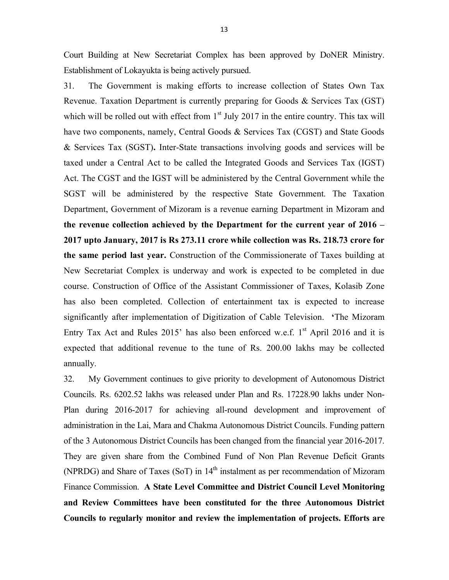Court Building at New Secretariat Complex has been approved by DoNER Ministry. Establishment of Lokayukta is being actively pursued.

31. The Government is making efforts to increase collection of States Own Tax Revenue. Taxation Department is currently preparing for Goods & Services Tax (GST) which will be rolled out with effect from  $1<sup>st</sup>$  July 2017 in the entire country. This tax will have two components, namely, Central Goods & Services Tax (CGST) and State Goods & Services Tax (SGST). Inter-State transactions involving goods and services will be taxed under a Central Act to be called the Integrated Goods and Services Tax (IGST) Act. The CGST and the IGST will be administered by the Central Government while the SGST will be administered by the respective State Government. The Taxation Department, Government of Mizoram is a revenue earning Department in Mizoram and the revenue collection achieved by the Department for the current year of 2016 – 2017 upto January, 2017 is Rs 273.11 crore while collection was Rs. 218.73 crore for the same period last year. Construction of the Commissionerate of Taxes building at New Secretariat Complex is underway and work is expected to be completed in due course. Construction of Office of the Assistant Commissioner of Taxes, Kolasib Zone has also been completed. Collection of entertainment tax is expected to increase significantly after implementation of Digitization of Cable Television. 'The Mizoram Entry Tax Act and Rules 2015' has also been enforced w.e.f.  $1<sup>st</sup>$  April 2016 and it is expected that additional revenue to the tune of Rs. 200.00 lakhs may be collected annually.

32. My Government continues to give priority to development of Autonomous District Councils. Rs. 6202.52 lakhs was released under Plan and Rs. 17228.90 lakhs under Non-Plan during 2016-2017 for achieving all-round development and improvement of administration in the Lai, Mara and Chakma Autonomous District Councils. Funding pattern of the 3 Autonomous District Councils has been changed from the financial year 2016-2017. They are given share from the Combined Fund of Non Plan Revenue Deficit Grants (NPRDG) and Share of Taxes (SoT) in 14<sup>th</sup> instalment as per recommendation of Mizoram Finance Commission. A State Level Committee and District Council Level Monitoring and Review Committees have been constituted for the three Autonomous District Councils to regularly monitor and review the implementation of projects. Efforts are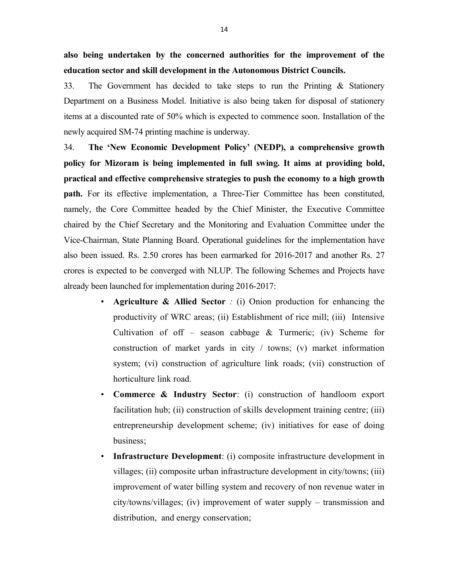also being undertaken by the concerned authorities for the improvement of the education sector and skill development in the Autonomous District Councils.

33. The Government has decided to take steps to run the Printing & Stationery Department on a Business Model. Initiative is also being taken for disposal of stationery items at a discounted rate of 50% which is expected to commence soon. Installation of the newly acquired SM-74 printing machine is underway.

34. The 'New Economic Development Policy' (NEDP), a comprehensive growth policy for Mizoram is being implemented in full swing. It aims at providing bold, practical and effective comprehensive strategies to push the economy to a high growth path. For its effective implementation, a Three-Tier Committee has been constituted, namely, the Core Committee headed by the Chief Minister, the Executive Committee chaired by the Chief Secretary and the Monitoring and Evaluation Committee under the Vice-Chairman, State Planning Board. Operational guidelines for the implementation have also been issued. Rs. 2.50 crores has been earmarked for 2016-2017 and another Rs. 27 crores is expected to be converged with NLUP. The following Schemes and Projects have already been launched for implementation during 2016-2017:

- Agriculture & Allied Sector : (i) Onion production for enhancing the productivity of WRC areas; (ii) Establishment of rice mill; (iii) Intensive Cultivation of off – season cabbage  $\&$  Turmeric; (iv) Scheme for construction of market yards in city / towns; (v) market information system; (vi) construction of agriculture link roads; (vii) construction of horticulture link road.
- Commerce & Industry Sector: (i) construction of handloom export facilitation hub; (ii) construction of skills development training centre; (iii) entrepreneurship development scheme; (iv) initiatives for ease of doing business;
- Infrastructure Development: (i) composite infrastructure development in villages; (ii) composite urban infrastructure development in city/towns; (iii) improvement of water billing system and recovery of non revenue water in city/towns/villages; (iv) improvement of water supply – transmission and distribution, and energy conservation;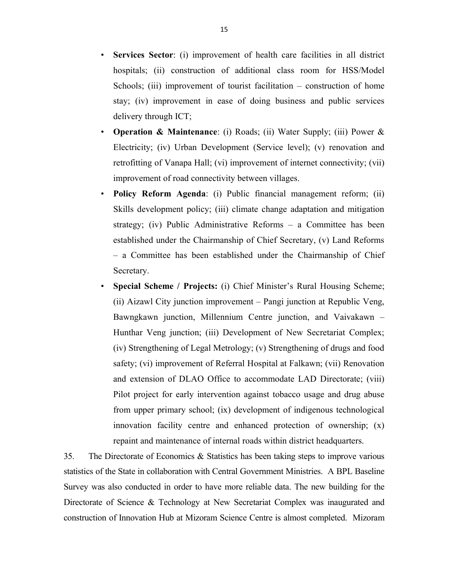- Services Sector: (i) improvement of health care facilities in all district hospitals; (ii) construction of additional class room for HSS/Model Schools; (iii) improvement of tourist facilitation – construction of home stay; (iv) improvement in ease of doing business and public services delivery through ICT;
- Operation & Maintenance: (i) Roads; (ii) Water Supply; (iii) Power & Electricity; (iv) Urban Development (Service level); (v) renovation and retrofitting of Vanapa Hall; (vi) improvement of internet connectivity; (vii) improvement of road connectivity between villages.
- Policy Reform Agenda: (i) Public financial management reform; (ii) Skills development policy; (iii) climate change adaptation and mitigation strategy; (iv) Public Administrative Reforms – a Committee has been established under the Chairmanship of Chief Secretary, (v) Land Reforms – a Committee has been established under the Chairmanship of Chief Secretary.
- Special Scheme / Projects: (i) Chief Minister's Rural Housing Scheme; (ii) Aizawl City junction improvement – Pangi junction at Republic Veng, Bawngkawn junction, Millennium Centre junction, and Vaivakawn – Hunthar Veng junction; (iii) Development of New Secretariat Complex; (iv) Strengthening of Legal Metrology; (v) Strengthening of drugs and food safety; (vi) improvement of Referral Hospital at Falkawn; (vii) Renovation and extension of DLAO Office to accommodate LAD Directorate; (viii) Pilot project for early intervention against tobacco usage and drug abuse from upper primary school; (ix) development of indigenous technological innovation facility centre and enhanced protection of ownership; (x) repaint and maintenance of internal roads within district headquarters.

35. The Directorate of Economics & Statistics has been taking steps to improve various statistics of the State in collaboration with Central Government Ministries. A BPL Baseline Survey was also conducted in order to have more reliable data. The new building for the Directorate of Science & Technology at New Secretariat Complex was inaugurated and construction of Innovation Hub at Mizoram Science Centre is almost completed. Mizoram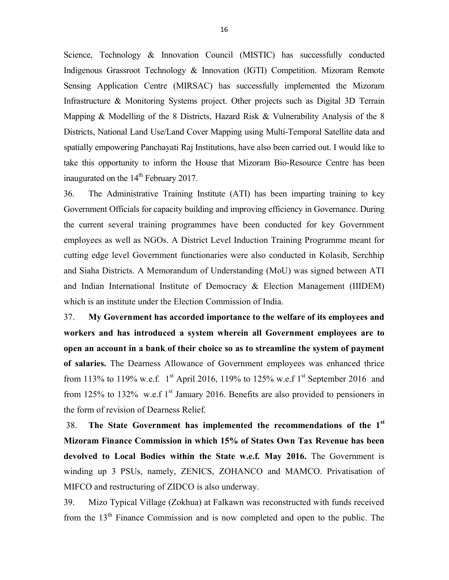Science, Technology & Innovation Council (MISTIC) has successfully conducted Indigenous Grassroot Technology & Innovation (IGTI) Competition. Mizoram Remote Sensing Application Centre (MIRSAC) has successfully implemented the Mizoram Infrastructure & Monitoring Systems project. Other projects such as Digital 3D Terrain Mapping & Modelling of the 8 Districts, Hazard Risk & Vulnerability Analysis of the 8 Districts, National Land Use/Land Cover Mapping using Multi-Temporal Satellite data and spatially empowering Panchayati Raj Institutions, have also been carried out. I would like to take this opportunity to inform the House that Mizoram Bio-Resource Centre has been inaugurated on the  $14<sup>th</sup>$  February 2017.

36. The Administrative Training Institute (ATI) has been imparting training to key Government Officials for capacity building and improving efficiency in Governance. During the current several training programmes have been conducted for key Government employees as well as NGOs. A District Level Induction Training Programme meant for cutting edge level Government functionaries were also conducted in Kolasib, Serchhip and Siaha Districts. A Memorandum of Understanding (MoU) was signed between ATI and Indian International Institute of Democracy & Election Management (IIIDEM) which is an institute under the Election Commission of India.

37. My Government has accorded importance to the welfare of its employees and workers and has introduced a system wherein all Government employees are to open an account in a bank of their choice so as to streamline the system of payment of salaries. The Dearness Allowance of Government employees was enhanced thrice from 113% to 119% w.e.f.  $1^{\text{st}}$  April 2016, 119% to 125% w.e.f  $1^{\text{st}}$  September 2016 and from 125% to 132% w.e.f  $1<sup>st</sup>$  January 2016. Benefits are also provided to pensioners in the form of revision of Dearness Relief.

38. The State Government has implemented the recommendations of the  $1<sup>st</sup>$ Mizoram Finance Commission in which 15% of States Own Tax Revenue has been devolved to Local Bodies within the State w.e.f. May 2016. The Government is winding up 3 PSUs, namely, ZENICS, ZOHANCO and MAMCO. Privatisation of MIFCO and restructuring of ZIDCO is also underway.

39. Mizo Typical Village (Zokhua) at Falkawn was reconstructed with funds received from the  $13<sup>th</sup>$  Finance Commission and is now completed and open to the public. The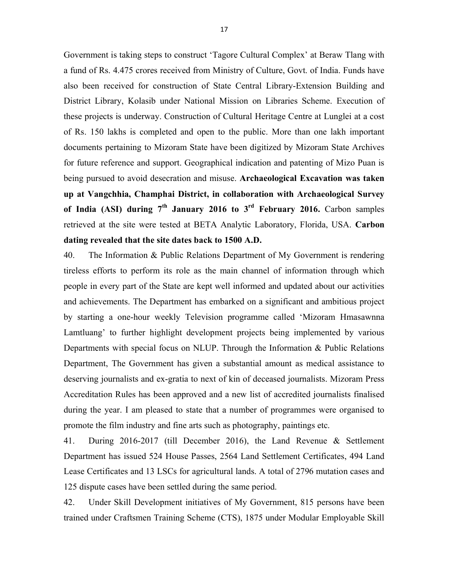Government is taking steps to construct 'Tagore Cultural Complex' at Beraw Tlang with a fund of Rs. 4.475 crores received from Ministry of Culture, Govt. of India. Funds have also been received for construction of State Central Library-Extension Building and District Library, Kolasib under National Mission on Libraries Scheme. Execution of these projects is underway. Construction of Cultural Heritage Centre at Lunglei at a cost of Rs. 150 lakhs is completed and open to the public. More than one lakh important documents pertaining to Mizoram State have been digitized by Mizoram State Archives for future reference and support. Geographical indication and patenting of Mizo Puan is being pursued to avoid desecration and misuse. Archaeological Excavation was taken up at Vangchhia, Champhai District, in collaboration with Archaeological Survey of India (ASI) during  $7<sup>th</sup>$  January 2016 to  $3<sup>rd</sup>$  February 2016. Carbon samples retrieved at the site were tested at BETA Analytic Laboratory, Florida, USA. Carbon dating revealed that the site dates back to 1500 A.D.

40. The Information & Public Relations Department of My Government is rendering tireless efforts to perform its role as the main channel of information through which people in every part of the State are kept well informed and updated about our activities and achievements. The Department has embarked on a significant and ambitious project by starting a one-hour weekly Television programme called 'Mizoram Hmasawnna Lamtluang' to further highlight development projects being implemented by various Departments with special focus on NLUP. Through the Information & Public Relations Department, The Government has given a substantial amount as medical assistance to deserving journalists and ex-gratia to next of kin of deceased journalists. Mizoram Press Accreditation Rules has been approved and a new list of accredited journalists finalised during the year. I am pleased to state that a number of programmes were organised to promote the film industry and fine arts such as photography, paintings etc.

41. During 2016-2017 (till December 2016), the Land Revenue & Settlement Department has issued 524 House Passes, 2564 Land Settlement Certificates, 494 Land Lease Certificates and 13 LSCs for agricultural lands. A total of 2796 mutation cases and 125 dispute cases have been settled during the same period.

42. Under Skill Development initiatives of My Government, 815 persons have been trained under Craftsmen Training Scheme (CTS), 1875 under Modular Employable Skill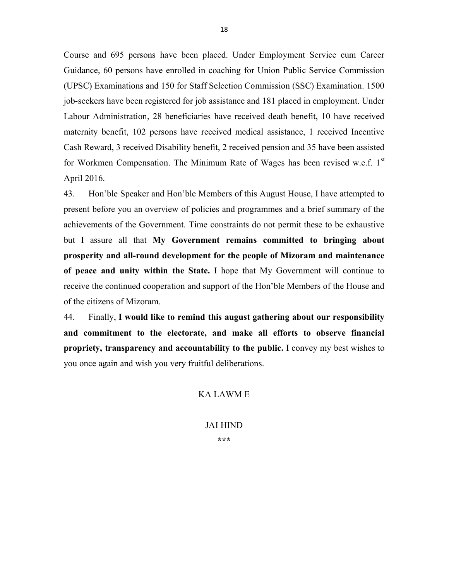Course and 695 persons have been placed. Under Employment Service cum Career Guidance, 60 persons have enrolled in coaching for Union Public Service Commission (UPSC) Examinations and 150 for Staff Selection Commission (SSC) Examination. 1500 job-seekers have been registered for job assistance and 181 placed in employment. Under Labour Administration, 28 beneficiaries have received death benefit, 10 have received maternity benefit, 102 persons have received medical assistance, 1 received Incentive Cash Reward, 3 received Disability benefit, 2 received pension and 35 have been assisted for Workmen Compensation. The Minimum Rate of Wages has been revised w.e.f. 1st April 2016.

43. Hon'ble Speaker and Hon'ble Members of this August House, I have attempted to present before you an overview of policies and programmes and a brief summary of the achievements of the Government. Time constraints do not permit these to be exhaustive but I assure all that My Government remains committed to bringing about prosperity and all-round development for the people of Mizoram and maintenance of peace and unity within the State. I hope that My Government will continue to receive the continued cooperation and support of the Hon'ble Members of the House and of the citizens of Mizoram.

44. Finally, I would like to remind this august gathering about our responsibility and commitment to the electorate, and make all efforts to observe financial propriety, transparency and accountability to the public. I convey my best wishes to you once again and wish you very fruitful deliberations.

## KA LAWM E

## JAI HIND

\*\*\*